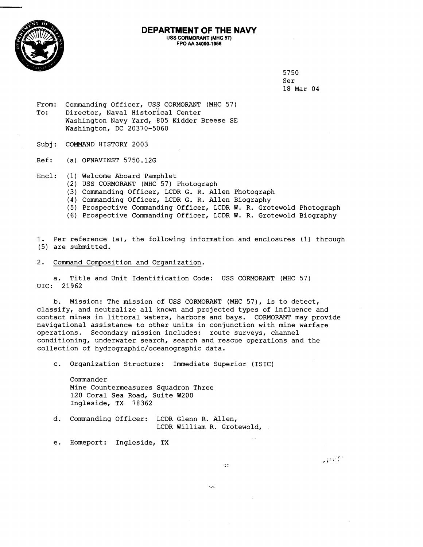

## **DEPARTMENT OF THE NAVY USS CORMQRANT (MHC 57) FPO AA 34090-1958**

5750 Ser 18 Mar 04

 $\overrightarrow{H}$ 

- From: Commanding Officer, USS CORMORANT (MHC 57) To: Director, Naval Historical Center Washington Navy Yard, 805 Kidder Breese SE Washington, DC 20370-5060
- Subj: COMMAND HISTORY 2003

Ref: (a) OPNAVINST 5750.12G

- Encl: (1) Welcome Aboard Pamphlet
	- (2) USS CORMORANT (MHC 57) Photograph
	- (3) Commanding Officer, LCDR G. R. Allen Photograph
	- (4) Commanding Officer, LCDR G. R. Allen Biography
	- (5) Prospective Commanding Officer, LCDR W. R. Grotewold Photograph
	- (6) Prospective Commanding Officer, LCDR W. R. Grotewold Biography

1. Per reference (a), the following information and enclosures (1) through (5) are submitted.

2. Command Composition and Organization.

a. Title and Unit Identification Code: USS CORMORANT (MHC 57) UIC: 21962

b. Mission: The mission of USS CORMORANT (MHC 57), is to detect, classify, and neutralize all known and projected types of influence and contact mines in littoral waters, harbors and bays. CORMORANT may provide navigational assistance to other units in conjunction with mine warfare operations. Secondary mission includes: route surveys, channel conditioning, underwater search, search and rescue operations and the collection of **hydrographic/oceanographic** data.

a.

 $\mathcal{L}_{\mathbf{q}}$ 

c. Organization Structure: Immediate Superior (ISIC)

Commander Mine Countermeasures Squadron Three 120 Coral Sea Road, Suite W200 Ingleside, TX 78362

d. Commanding Officer: LCDR Glenn R. Allen, LCDR William R. Grotewold,

e. Homeport: Ingleside, TX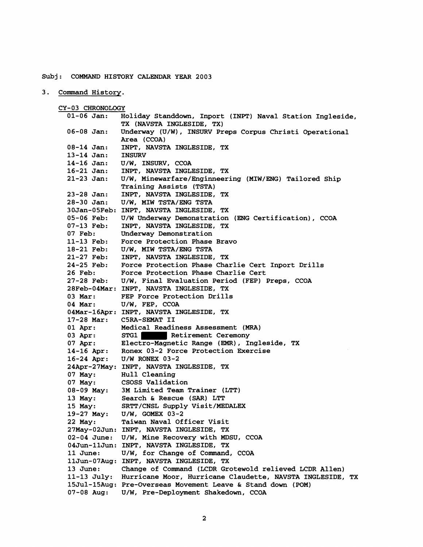## **Subj: COMMAND HISTORY CALENDAR YEAR 2003**

**3. Command History.** 

**CY-03 CHRONOLOGY 01-06 Jan: Holiday Standdown, Inport (INPT) Naval Station Ingleside, TX (NAVSTA INGLESIDE, TX) 06-08 Jan: Underway (U/W), INSURV Preps Corpus Christi Operational Area (CCOA) 08-14 Jan: INPT, NAVSTA INGLESIDE, TX**  13-14 Jan:<br>14-16 Jan: **14-16 Jan: U/W, INSURV, CCOA 16-21 Jan: INPT, NAVSTA INGLESIDE, TX 21-23 Jan: U/W, Minewarfare/Hnginneering (MIW/ENG) Tailored Ship Training Assists (TSTA) 23-28 Jan: INPT, NAVSTA INGLESIDE, TX 28-30 Jan: U/W, MIW TSTA/ENG TSTA 30Jan-05Feb: INPT, NAVSTA INGLESIDE, TX 05-06 Feb: U/W Underway Demonstration (ENG Certification), CCOA 07-13 Feb: INPT, NAVSTA INGLESIDE, TX 07 Feb: Underway Demonstration 11-13 Feb: Force Protection Phase Bravo 18-21 Feb: U/W, MIW TSTA/ENG TSTA 21-27 Feb: INPT, NAVSTA INGLESIDE, TX 24-25 Feb: Force Protection Phase Charlie Cert Inport Drills 26 Feb: Force Protection Phase Charlie Cert 27-28 Feb: U/W, Final Evaluation Period (FEP) Preps, CCOA 28Feb-04Mar: INPT, NAVSTA INGLESIDE, TX**  FEP Force Protection Drills **04 Mar: U/W, FEP, CCOA O4Mar-16Apr: INPT, NAVSTA INGLESIDE, TX 17-28 Mar: C5RA-SEMAT I1**  Medical Readiness Assessment (MRA) 03 Apr: STG1 Retirement Ceremony **07 Apr: Electro-Magnetic Range (EMR), Ingleside, TX 14-16 Apr: Ronex 03-2 Force Protection Exercise 16-24 Apr: U/W RONEX 03-2 24Apr-27May: INPT, NAVSTA INGLESIDE, TX 07 May: Hull Cleaning 07 May: CSOSS Validation 08-09 May: 3M Limited Team Trainer (LTT) 13 May: Search** & **Rescue (SAR) LTT 15 May: SRTT/CNSL Supply Visit/MEDALEX 19-27 May: U/W, GOMEX 03-2 22 May: Taiwan Naval Officer Visit 27May-02Jun: INPT, NAVSTA INGLESIDE, TX 02-04 June: U/W, Mine Recovery with MDSU, CCOA 04Jun-11Jun: INPT, NAVSTA INGLESIDE, TX 11 June** : **U/W, for Change of Command, CCOA 11Jun-07Aug: INPT, NAVSTA INGLESIDE, TX 13 June: Change of Command (LCDR Grotewold relieved LCDR Allen) 11-13 July: Hurricane Moor, Hurricane Claudette, NAVSTA INGLESIDE, TX 15Jul-15Aug: Pre-Overseas Movement Leave** & **Stand down (POM) 07-08 Aug: U/W, Pre-Deployment Shakedown, CCOA**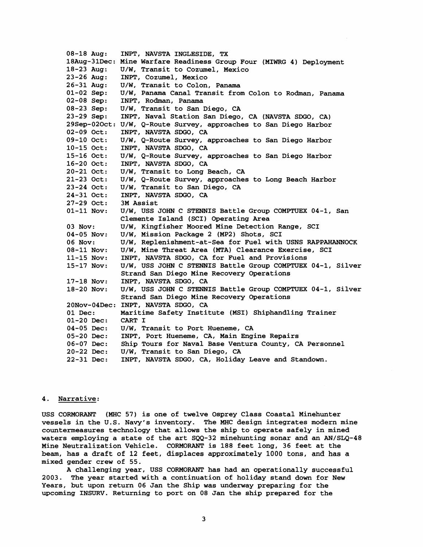**08-18 Aug: INPT, NAVSTA INGLBSIDE, TX 18Aug-31Dec: Mine Warfare Readiness Group Four (MIWRG 4) Deployment 18-23 Aug: U/W, Transit to Cozumel, Mexico 23-26 Aug: INPT, Cozumel, Mexico 26-31 Aug: U/W, Transit to Colon, Panama 01-02 Sep: U/W, Panama Canal Transit from Colon to Rodman, Panama 02-08 Sep: INPT, Rodman, Panama 08-23 Sep: U/W, Transit to San Diego, CA 23-29 Sep: INPT, Naval Station San Diego, CA (NAVSTA SDGO, CA) 29Sep-020ct: U/W, Q-Route Survey, approaches to San Diego Harbor 02-09 Oct: INPT, NAVSTA SDGO, CA 09-10 Oct: U/W, Q-Route Survey, approaches to San Diego Harbor 10-15 Oct: INPT, NAVSTA SDGO, CA 15-16 Oct: U/W, Q-Route Survey, approaches to San Diego Harbor 16-20 Oct: INPT, NAVSTA SDGO, CA 20-21 Oct: U/W, Transit to Long Beach, CA 21-23 Oct: U/W, Q-Route Survey, approaches to Long Beach Harbor 23-24 Oct: U/W, Transit to San Diego, CA 24-31 Oct: INPT, NAVSTA SDGO, CA 27-29 Oct: 3M Assist 01-11 Nov: U/W, USS JOHN C STENNIS Battle Group COMPTUEX 04-1, San Clemente Island (SCI) Operating Area**  03 Nov: U/W, Kingfisher Moored Mine Detection Range, SCI **04-05 Nov: U/W, Mission Package 2 (MP2) Shots, SCI 06 Nov: U/W, Replenishment-at-Sea for Fuel with USNS RAPPAHANNOCK 08-11 Nov: U/W, Mine Threat Area (MTA) Clearance Exercise, SCI 11-15 Nov: INPT, NAVSTA SDGO, CA for Fuel and Provisions 15-17 Nov: U/W, USS JOHN C STENNIS Battle Group COMPTUEX 04-1, Silver Strand San Diego Mine Recovery Operations 17-18 Nov: INPT, NAVSTA SDGO, CA 18-20 Nov: U/W, USS JOHN C STENNIS Battle Group COMPTUEX 04-1, Silver Strand San Diego Mine Recovery Operations 20Nov-04Dec: INPT, NAVSTA SDGO, CA 01 Dec: Maritime Safety Institute (MSI) Shiphandling Trainer 01-20 Dec: CART I 04-05 Dec: U/W, Transit to Port Hueneme, CA 05-20 Dec: INPT, Port Hueneme, CA, Main Engine Repairs 06-07 Dec: Ship Tours for Naval Base Ventura County, CA Personnel 20-22 Dec: U/W, Transit to San Diego, CA 22-31 Dec: INPT, NAVSTA SDGO, CA, Holiday Leave and Standown.** 

## **4. Narrative:**

**USS CORMORANT (MHC 57) is one of twelve Osprey Class Coastal Minehunter vessels in the U.S. Navy's inventory. The MHC design integrates modern mine countermeasures technology that allows the ship to operate safely in mined waters employing a state of the art SQQ-32 minehunting sonar and an AN/SLQ-48 Mine Neutralization Vehicle. CORMORANT is 188 feet long, 36 feet at the beam, has a draft of 12 feet, displaces approximately 1000 tons, and has a mixed gender crew of 55.** 

**A challenging year, USS CORMORANT has had an operationally successful 2003. The year started with a continuation of holiday stand down for New Years, but upon return 06 Jan the Ship was underway preparing for the upcoming INSURV. Returning to port on 08 Jan the ship prepared for the**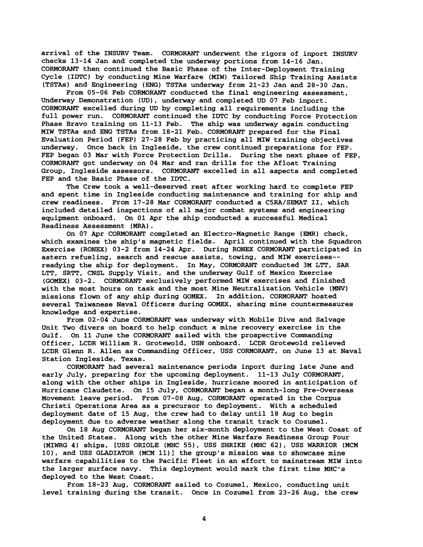**arrival of the INSURV Team. CORMORANT underwent the rigors of inport INSURV checks 13-14 Jan and completed the underway portions from 14-16 Jan. CORMORANT then continued the Basic Phase of the Inter-Deployment Training Cycle (IDTC) by conducting Mine Warfare (MIW) Tailored Ship Training Assists (TSTAs) and Engineering (ENG) TSTAs underway from 21-23 Jan and 28-30 Jan.** 

**From 05-06 Feb CORMORANT conducted the final engineering assessment, Underway Demonstration (UD), underway and completed UD 07 Feb inport. CORMORANT excelled during UD by completing all requirements including the full power run. CORMORANT continued the IDTC by conducting Force Protection Phase Bravo training on 11-13 Feb. The ship was underway again conducting MIW TSTAs and ENG TSTAs from 18-21 Feb. CORMORANT prepared for the Final hraluation Period (FEP) 27-28 Feb by practicing all MIW training objectives underway. Once back in Ingleside, the crew continued preparations for FEP. FEP began 03 Mar with Force Protection Drills. During the next phase of FEP, CORMORANT got underway on 04 Mar and ran drills for the Afloat Training Group, Ingleside assessors. CORMORANT excelled in all aspects and completed FEP and the Basic Phase of the IDTC.** 

**The Crew took a well-deserved rest after working hard to complete FEP and spent time in Ingleside conducting maintenance and training for ship and crew readiness. From 17-28 Mar CORMORANT conducted a C5RA/SEMAT 11, which included detailed inspections of all major combat systems and engineering equipment onboard. On 01 Apr the ship conducted a successful Medical Readiness Assessment (MRA)** . **On 07 Apr CORMORANT completed an Electro-Magnetic Range (EMR) check,** 

**which examines the ship's magnetic fields. April continued with the Squadron Exercise (RONEX) 03-2 from 14-24 Apr. During RONEX CORMORANT participated in astern refueling, search and rescue assists, towing, and MIW exercises- readying the ship for deployment. In May, CORMORANT conducted 3M LTT, SAR LTT, SRTT, CNSL Supply Visit, and the underway Gulf of Mexico Exercise (GOMEX) 03-2. CORMORANT exclusively performed MIW exercises and finished with the most hours on task and the most Mine Neutralization Vehicle (MNV) missions flown of any ship during GOMEX. In addition, CORMORANT hosted several Taiwanese Naval Officers during GOMEX, sharing mine countermeasures knowledge and expertise.** 

**From 02-04 June CORMORANT was underway with Mobile Dive and Salvage Unit Two divers on board to help conduct a mine recovery exercise in the Gulf. On 11 June the CORMORANT sailed with the prospective Commanding Officer, LCDR William R. Grotewold, USN onboard. LCDR Grotewold relieved LCDR Glenn R. Allen as Commanding Officer, USS CORMORANT, on June 13 at Naval Station Ingleside, Texas.** 

**CORMORANT had several maintenance periods inport during late June and early July, preparing for the upcoming deployment. 11-13 July CORMORANT, along with the other ships in Ingleside, hurricane moored in anticipation of Hurricane Claudette. On 15 July, CORMORANT began a month-long Pre-Overseas Movement leave period. From 07-08 Aug, CORMORANT operated in the Corpus Christi Operations Area as a precursor to deployment. With a scheduled deployment date of 15 Aug, the crew had to delay until 18 Aug to begin deployment due to adverse weather along the transit track to Cozumel.** 

**On 18 Aug CORMORANT began her six-month deployment to the West Coast of the United States. Along with the other Mine Warfare Readiness Group Four (MIWRG 4) ships, [USS ORIOLE (MHC 55), USS SHRIKE (MHC 62), USS WARRIOR (MCM 10), and USS GLADIATOR (MCM 11)l the group's mission was to showcase mine warfare capabilities to the Pacific Fleet in an effort to mainstream MIW into**  the larger surface navy. This deployment would mark the first time MHC's **deployed to the West Coast.** 

**From 18-23 Aug, CORMORANT sailed to Cozumel, Mexico, conducting unit level training during the transit. Once in Cozumel from 23-26 Aug, the crew**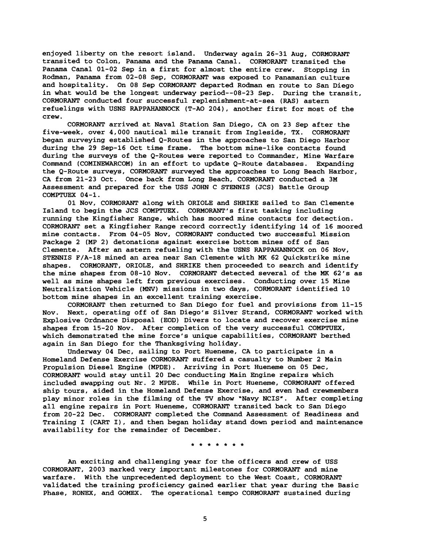**enjoyed liberty on the resort island. Underway again 26-31 Aug, CORMORANT transited to Colon, Panama and the Panama Canal. CORMORANT transited the Panama Canal 01-02 Sep in a first for almost the entire crew. Stopping in Rodman, Panama from 02-08 Sep, CORMORANT was exposed to Panamanian culture and hospitality. On 08 Sep CORMORANT departed Rodman en route to San Diego in what would be the longest underway period--08-23 Sep. During the transit, CORMORANT conducted four successful replenishment-at-sea (RAS) astern refuelings with USNS RAPPAHANNOCK (T-A0 2041, another first for most of the crew.** 

**CORMORANT arrived at Naval Station San Diego, CA on 23 Sep after the five-week, over 4,000 nautical mile transit from Ingleside, TX. CORMORANT began surveying established Q-Routes in the approaches to San Diego Harbor during the 29 Sep-16 Oct time frame. The bottom mine-like contacts found during the surveys of the Q-Routes were reported to Commander, Mine Warfare Command (COMINEWARCOM) in an effort to update Q-Route databases. Expanding the Q-Route surveys, CORMORANT surveyed the approaches to Long Beach Harbor, CA from 21-23 Oct. Once back from Long Beach, CORMORANT conducted a 3M Assessment and prepared for the USS JOHN C STENNIS (JCS) Battle Group COMPTUEX 04-1.** 

**01 Nov, CORMORANT along with ORIOLE and SHRIKE sailed to San Clemente Island to begin the JCS COMPTUEX. CORMORANT'S first tasking including running the Kingfisher Range, which has moored mine contacts for detection. CORMORANT set a Kingfisher Range record correctly identifying 14 of 16 moored mine contacts. From 04-05 Nov, CORMORANT conducted two successful Mission Package 2 (MP 2) detonations against exercise bottom mines off of San Clemente. After an astern refueling with the USNS RAPPAHANNOCK on 06 Nov, STENNIS F/A-18 mined an area near San Clemente with MK 62 Quickstrike mine shapes. CORMORANT, ORIOLE, and SHRIKE then proceeded to search and identify the mine shapes from 08-10 Nov. CORMORANT detected several of the MK 62's as well as mine shapes left from previous exercises. Conducting over 15 Mine Neutralization Vehicle (MNV) missions in two days, CORMORANT identified 10 bottom mine shapes in an excellent training exercise.** 

**CORMORANT then returned to San Diego for fuel and provisions from 11-15 Nov. Next, operating off of San Diego's Silver Strand, CORMORANT worked with Explosive Ordnance Disposal (EOD) Divers to locate and recover exercise mine shapes from 15-20 Nov. After completion of the very successful COMPTUEX, which demonstrated the mine force's unique capabilities, CORMORANT berthed again in San Diego for the Thanksgiving holiday.** 

**Underway 04 Dec. sailing to Port Hueneme, CA to participate in a Homeland Defense Exercise CORMORANT suffered a casualty to Number 2 Main Propulsion Diesel Engine (MPDE). Arriving in Port Hueneme on 05 Dec, CORMORANT would stay until 20 Dec conducting Main Engine repairs which included swapping out Nr. 2 MPDE. While in Port Hueneme, CORMORANT offered ship tours, aided in the Homeland Defense Exercise, and even had crewmembers play minor roles in the filming of the TV show "Navy NCIS". After completing all engine repairs in Port Hueneme, CORMORANT transited back to San Diego from 20-22 Dec. CORMORANT completed the Command Assessment of Readiness and Training I (CART I), and then began holiday stand down period and maintenance availability for the remainder of December.** 

\* \* \* \* \* \* \*

**An exciting and challenging year for the officers and crew of USS CORMORANT, 2003 marked very important milestones for CORMORANT and mine warfare. With the unprecedented deployment to the West Coast, CORMORANT validated the training proficiency gained earlier that year during the Basic Phase, RONEX, and GOMEX. The operational tempo CORMORANT sustained during**